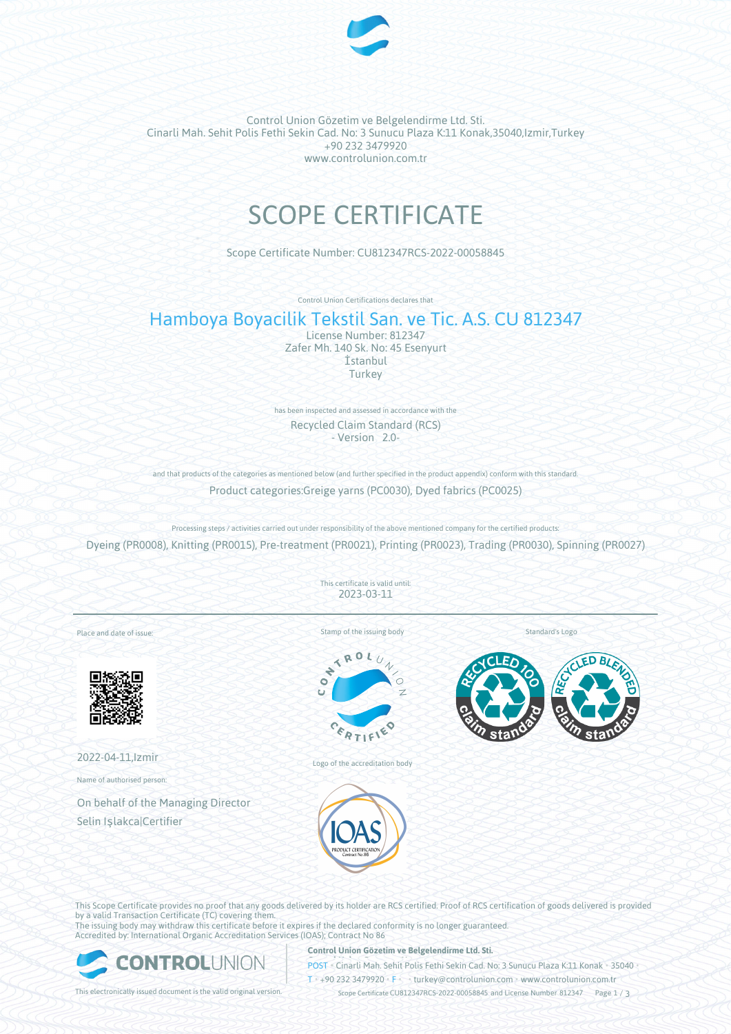

Control Union Gözetim ve Belgelendirme Ltd. Sti. Cinarli Mah. Sehit Polis Fethi Sekin Cad. No: 3 Sunucu Plaza K:11 Konak,35040,Izmir,Turkey +90 232 3479920 www.controlunion.com.tr

# SCOPE CERTIFICATE

Scope Certificate Number: CU812347RCS-2022-00058845

Control Union Certifications declares that

# Hamboya Boyacilik Tekstil San. ve Tic. A.S. CU 812347

License Number: 812347 Zafer Mh. 140 Sk. No: 45 Esenyurt İstanbul Turkey

has been inspected and assessed in accordance with the Recycled Claim Standard (RCS) - Version 2.0-

and that products of the categories as mentioned below (and further specified in the product appendix) conform with this standard. Product categories:Greige yarns (PC0030), Dyed fabrics (PC0025)

Processing steps / activities carried out under responsibility of the above mentioned company for the certified products: Dyeing (PR0008), Knitting (PR0015), Pre-treatment (PR0021), Printing (PR0023), Trading (PR0030), Spinning (PR0027)

> This certificate is valid until: 2023-03-11

Place and date of issue:



2022-04-11,Izmir

Name of authorised person:

On behalf of the Managing Director Selin Işlakca|Certifier

Stamp of the issuing body



Logo of the accreditation body





Standard's Logo

This Scope Certificate provides no proof that any goods delivered by its holder are RCS certified. Proof of RCS certification of goods delivered is provided by a valid Transaction Certificate (TC) covering them. The issuing body may withdraw this certificate before it expires if the declared conformity is no longer guaranteed.

Accredited by: International Organic Accreditation Services (IOAS); Contract No 86



**Control Union Gözetim ve Belgelendirme Ltd. Sti.**

**POST** • Cinarli Mah. Sehit Polis Fethi Sekin Cad. No: 3 Sunucu Plaza K:11 Konak • 35040

T • +90 232 3479920 • F • turkey@controlunion.com • www.controlunion.com.tr

This electronically issued document is the valid original version. Scope Certificate CU812347RCS-2022-00058845 and License Number 812347 Page 1 / 3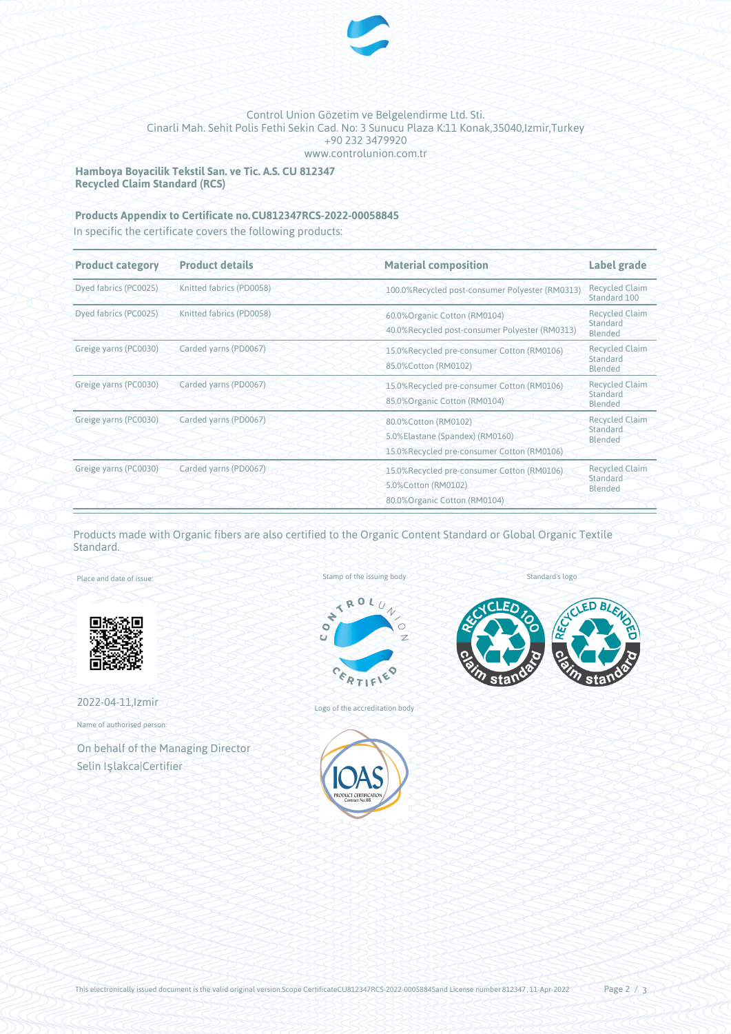

## Control Union Gözetim ve Belgelendirme Ltd. Sti. Cinarli Mah. Sehit Polis Fethi Sekin Cad. No: 3 Sunucu Plaza K:11 Konak,35040,Izmir,Turkey +90 232 3479920 www.controlunion.com.tr

**Hamboya Boyacilik Tekstil San. ve Tic. A.S. CU 812347 Recycled Claim Standard (RCS)**

# **Products Appendix to Certificate no.CU812347RCS-2022-00058845**

In specific the certificate covers the following products:

| <b>Product category</b> | <b>Product details</b>   | <b>Material composition</b>                                                                           | Label grade                                  |
|-------------------------|--------------------------|-------------------------------------------------------------------------------------------------------|----------------------------------------------|
| Dyed fabrics (PC0025)   | Knitted fabrics (PD0058) | 100.0%Recycled post-consumer Polyester (RM0313)                                                       | <b>Recycled Claim</b><br>Standard 100        |
| Dyed fabrics (PC0025)   | Knitted fabrics (PD0058) | 60.0% Organic Cotton (RM0104)<br>40.0%Recycled post-consumer Polyester (RM0313)                       | <b>Recycled Claim</b><br>Standard<br>Blended |
| Greige yarns (PC0030)   | Carded yarns (PD0067)    | 15.0%Recycled pre-consumer Cotton (RM0106)<br>85.0%Cotton (RM0102)                                    | <b>Recycled Claim</b><br>Standard<br>Blended |
| Greige yarns (PC0030)   | Carded yarns (PD0067)    | 15.0%Recycled pre-consumer Cotton (RM0106)<br>85.0% Organic Cotton (RM0104)                           | <b>Recycled Claim</b><br>Standard<br>Blended |
| Greige yarns (PC0030)   | Carded yarns (PD0067)    | 80.0%Cotton (RM0102)<br>5.0%Elastane (Spandex) (RM0160)<br>15.0%Recycled pre-consumer Cotton (RM0106) | <b>Recycled Claim</b><br>Standard<br>Blended |
| Greige yarns (PC0030)   | Carded yarns (PD0067)    | 15.0%Recycled pre-consumer Cotton (RM0106)<br>5.0%Cotton (RM0102)<br>80.0% Organic Cotton (RM0104)    | <b>Recycled Claim</b><br>Standard<br>Blended |

Products made with Organic fibers are also certified to the Organic Content Standard or Global Organic Textile Standard.

Place and date of issue:



2022-04-11,Izmir

Name of authorised person:

On behalf of the Managing Director Selin Işlakca|Certifier

Stamp of the issuing body



Logo of the accreditation body



Standard's logo



This electronically issued document is the valid original version.Scope CertificateCU812347RCS-2022-00058845and License number 812347, 11-Apr-2022 Page 2 / 3